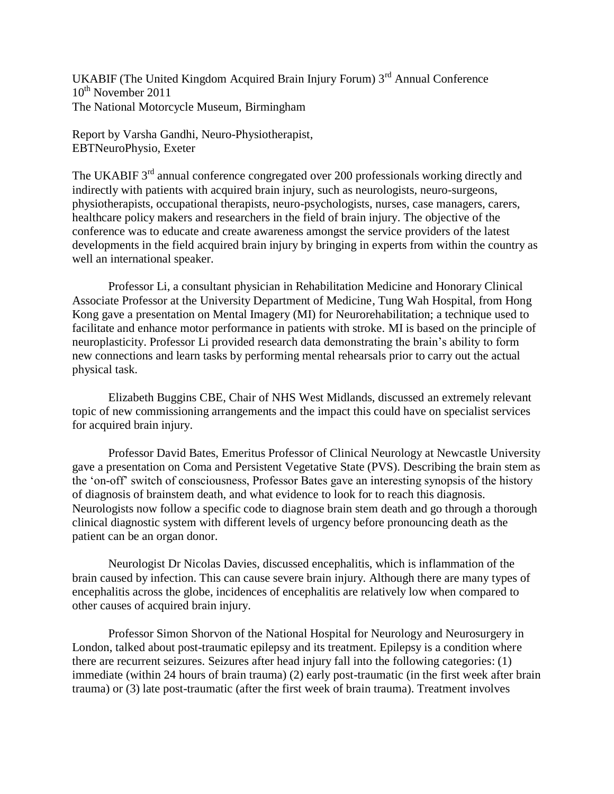UKABIF (The United Kingdom Acquired Brain Injury Forum) 3rd Annual Conference  $10^{th}$  November 2011 The National Motorcycle Museum, Birmingham

Report by Varsha Gandhi, Neuro-Physiotherapist, EBTNeuroPhysio, Exeter

The UKABIF 3<sup>rd</sup> annual conference congregated over 200 professionals working directly and indirectly with patients with acquired brain injury, such as neurologists, neuro-surgeons, physiotherapists, occupational therapists, neuro-psychologists, nurses, case managers, carers, healthcare policy makers and researchers in the field of brain injury. The objective of the conference was to educate and create awareness amongst the service providers of the latest developments in the field acquired brain injury by bringing in experts from within the country as well an international speaker.

Professor Li, a consultant physician in Rehabilitation Medicine and Honorary Clinical Associate Professor at the University Department of Medicine, Tung Wah Hospital, from Hong Kong gave a presentation on Mental Imagery (MI) for Neurorehabilitation; a technique used to facilitate and enhance motor performance in patients with stroke. MI is based on the principle of neuroplasticity. Professor Li provided research data demonstrating the brain's ability to form new connections and learn tasks by performing mental rehearsals prior to carry out the actual physical task.

Elizabeth Buggins CBE, Chair of NHS West Midlands, discussed an extremely relevant topic of new commissioning arrangements and the impact this could have on specialist services for acquired brain injury.

Professor David Bates, Emeritus Professor of Clinical Neurology at Newcastle University gave a presentation on Coma and Persistent Vegetative State (PVS). Describing the brain stem as the 'on-off' switch of consciousness, Professor Bates gave an interesting synopsis of the history of diagnosis of brainstem death, and what evidence to look for to reach this diagnosis. Neurologists now follow a specific code to diagnose brain stem death and go through a thorough clinical diagnostic system with different levels of urgency before pronouncing death as the patient can be an organ donor.

Neurologist Dr Nicolas Davies, discussed encephalitis, which is inflammation of the brain caused by infection. This can cause severe brain injury. Although there are many types of encephalitis across the globe, incidences of encephalitis are relatively low when compared to other causes of acquired brain injury.

Professor Simon Shorvon of the National Hospital for Neurology and Neurosurgery in London, talked about post-traumatic epilepsy and its treatment. Epilepsy is a condition where there are recurrent seizures. Seizures after head injury fall into the following categories: (1) immediate (within 24 hours of brain trauma) (2) early post-traumatic (in the first week after brain trauma) or (3) late post-traumatic (after the first week of brain trauma). Treatment involves